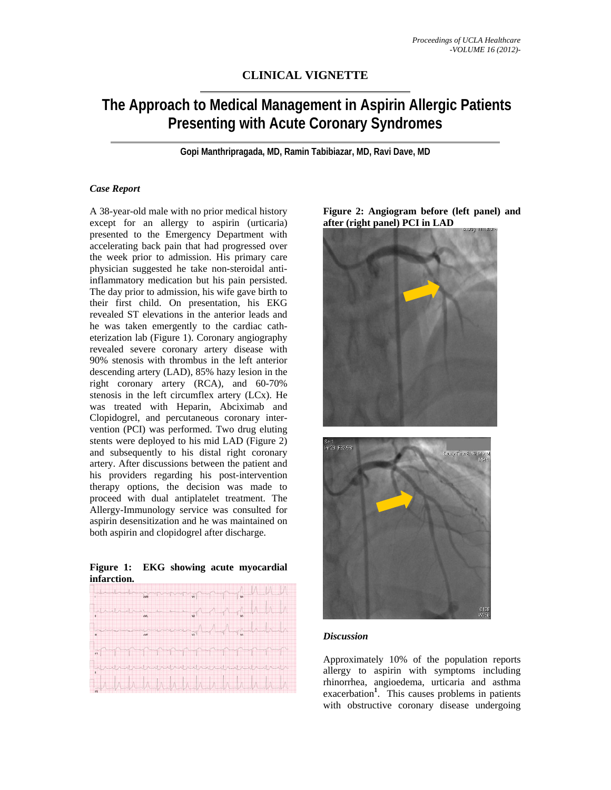# **CLINICAL VIGNETTE**

# **The Approach to Medical Management in Aspirin Allergic Patients Presenting with Acute Coronary Syndromes**

**Gopi Manthripragada, MD, Ramin Tabibiazar, MD, Ravi Dave, MD** 

### *Case Report*

A 38-year-old male with no prior medical history except for an allergy to aspirin (urticaria) presented to the Emergency Department with accelerating back pain that had progressed over the week prior to admission. His primary care physician suggested he take non-steroidal antiinflammatory medication but his pain persisted. The day prior to admission, his wife gave birth to their first child. On presentation, his EKG revealed ST elevations in the anterior leads and he was taken emergently to the cardiac catheterization lab (Figure 1). Coronary angiography revealed severe coronary artery disease with 90% stenosis with thrombus in the left anterior descending artery (LAD), 85% hazy lesion in the right coronary artery (RCA), and 60-70% stenosis in the left circumflex artery (LCx). He was treated with Heparin, Abciximab and Clopidogrel, and percutaneous coronary intervention (PCI) was performed. Two drug eluting stents were deployed to his mid LAD (Figure 2) and subsequently to his distal right coronary artery. After discussions between the patient and his providers regarding his post-intervention therapy options, the decision was made to proceed with dual antiplatelet treatment. The Allergy-Immunology service was consulted for aspirin desensitization and he was maintained on both aspirin and clopidogrel after discharge.

|             |  | Figure 1: EKG showing acute myocardial |
|-------------|--|----------------------------------------|
| infarction. |  |                                        |
|             |  |                                        |



**Figure 2: Angiogram before (left panel) and after (right panel) PCI in LAD** 





#### *Discussion*

Approximately 10% of the population reports allergy to aspirin with symptoms including rhinorrhea, angioedema, urticaria and asthma exacerbation**<sup>1</sup>** . This causes problems in patients with obstructive coronary disease undergoing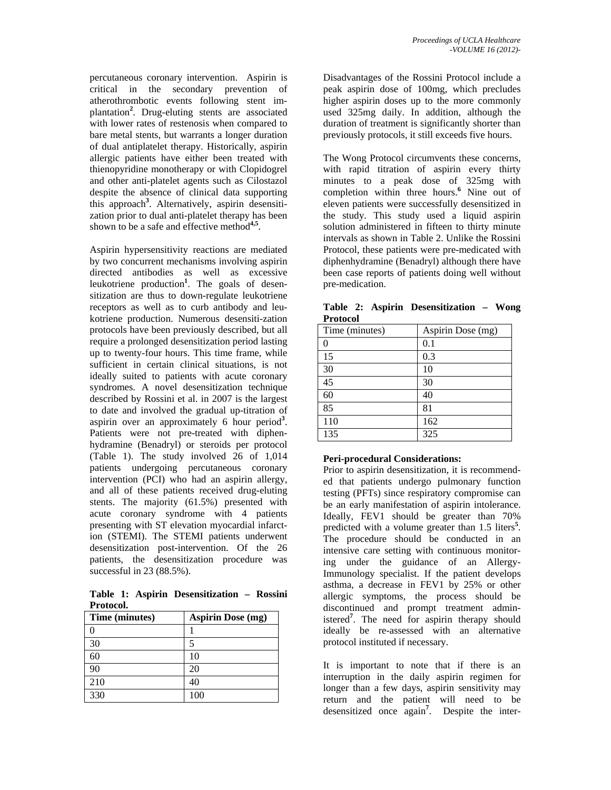percutaneous coronary intervention. Aspirin is critical in the secondary prevention of atherothrombotic events following stent implantation**<sup>2</sup>** . Drug-eluting stents are associated with lower rates of restenosis when compared to bare metal stents, but warrants a longer duration of dual antiplatelet therapy. Historically, aspirin allergic patients have either been treated with thienopyridine monotherapy or with Clopidogrel and other anti-platelet agents such as Cilostazol despite the absence of clinical data supporting this approach**<sup>3</sup>** . Alternatively, aspirin desensitization prior to dual anti-platelet therapy has been shown to be a safe and effective method**4,5**.

Aspirin hypersensitivity reactions are mediated by two concurrent mechanisms involving aspirin directed antibodies as well as excessive leukotriene production**<sup>1</sup>** . The goals of desensitization are thus to down-regulate leukotriene receptors as well as to curb antibody and leukotriene production. Numerous desensiti-zation protocols have been previously described, but all require a prolonged desensitization period lasting up to twenty-four hours. This time frame, while sufficient in certain clinical situations, is not ideally suited to patients with acute coronary syndromes. A novel desensitization technique described by Rossini et al. in 2007 is the largest to date and involved the gradual up-titration of aspirin over an approximately 6 hour period<sup>3</sup>. Patients were not pre-treated with diphenhydramine (Benadryl) or steroids per protocol (Table 1). The study involved 26 of 1,014 patients undergoing percutaneous coronary intervention (PCI) who had an aspirin allergy, and all of these patients received drug-eluting stents. The majority (61.5%) presented with acute coronary syndrome with 4 patients presenting with ST elevation myocardial infarction (STEMI). The STEMI patients underwent desensitization post-intervention. Of the 26 patients, the desensitization procedure was successful in 23 (88.5%).

**Table 1: Aspirin Desensitization – Rossini Protocol.** 

| Time (minutes) | <b>Aspirin Dose (mg)</b> |
|----------------|--------------------------|
|                |                          |
| 30             |                          |
| 60             | 10                       |
| 90             | 20                       |
| 210            | 40                       |
| 330            | 100                      |

Disadvantages of the Rossini Protocol include a peak aspirin dose of 100mg, which precludes higher aspirin doses up to the more commonly used 325mg daily. In addition, although the duration of treatment is significantly shorter than previously protocols, it still exceeds five hours.

The Wong Protocol circumvents these concerns, with rapid titration of aspirin every thirty minutes to a peak dose of 325mg with completion within three hours.<sup>6</sup> Nine out of eleven patients were successfully desensitized in the study. This study used a liquid aspirin solution administered in fifteen to thirty minute intervals as shown in Table 2. Unlike the Rossini Protocol, these patients were pre-medicated with diphenhydramine (Benadryl) although there have been case reports of patients doing well without pre-medication.

| Protocol       |                   |  |  |
|----------------|-------------------|--|--|
| Time (minutes) | Aspirin Dose (mg) |  |  |
|                | 0.1               |  |  |
| 15             | 0.3               |  |  |
| 30             | 10                |  |  |
| 45             | 30                |  |  |
| 60             | 40                |  |  |
| 85             | 81                |  |  |
| 110            | 162               |  |  |
| 135            | 325               |  |  |

**Table 2: Aspirin Desensitization – Wong Protocol**

## **Peri-procedural Considerations:**

Prior to aspirin desensitization, it is recommended that patients undergo pulmonary function testing (PFTs) since respiratory compromise can be an early manifestation of aspirin intolerance. Ideally, FEV1 should be greater than 70% predicted with a volume greater than 1.5 liters<sup>5</sup>. The procedure should be conducted in an intensive care setting with continuous monitoring under the guidance of an Allergy-Immunology specialist. If the patient develops asthma, a decrease in FEV1 by 25% or other allergic symptoms, the process should be discontinued and prompt treatment administered**<sup>7</sup>** . The need for aspirin therapy should ideally be re-assessed with an alternative protocol instituted if necessary.

It is important to note that if there is an interruption in the daily aspirin regimen for longer than a few days, aspirin sensitivity may return and the patient will need to be desensitized once again<sup>7</sup>. Despite the inter